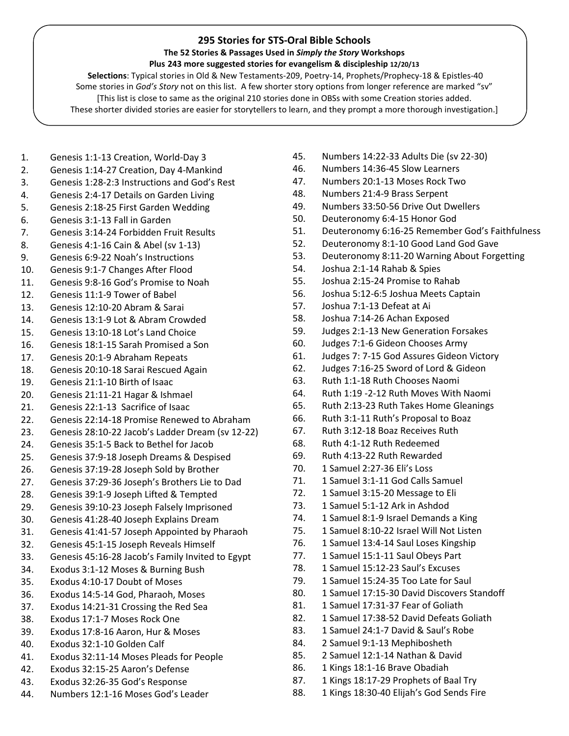## 295 Stories for STS-Oral Bible Schools

## The 52 Stories & Passages Used in Simply the Story Workshops

## Plus 243 more suggested stories for evangelism & discipleship 12/20/13

 Selections: Typical stories in Old & New Testaments-209, Poetry-14, Prophets/Prophecy-18 & Epistles-40 Some stories in God's Story not on this list. A few shorter story options from longer reference are marked "sv" [This list is close to same as the original 210 stories done in OBSs with some Creation stories added. These shorter divided stories are easier for storytellers to learn, and they prompt a more thorough investigation.]

- 1. Genesis 1:1-13 Creation, World-Day 3
- 2. Genesis 1:14-27 Creation, Day 4-Mankind
- 3. Genesis 1:28-2:3 Instructions and God's Rest
- 4. Genesis 2:4-17 Details on Garden Living
- 5. Genesis 2:18-25 First Garden Wedding
- 6. Genesis 3:1-13 Fall in Garden
- 7. Genesis 3:14-24 Forbidden Fruit Results
- 8. Genesis 4:1-16 Cain & Abel (sv 1-13)
- 9. Genesis 6:9-22 Noah's Instructions
- 10. Genesis 9:1-7 Changes After Flood
- 11. Genesis 9:8-16 God's Promise to Noah
- 12. Genesis 11:1-9 Tower of Babel
- 13. Genesis 12:10-20 Abram & Sarai
- 14. Genesis 13:1-9 Lot & Abram Crowded
- 15. Genesis 13:10-18 Lot's Land Choice
- 16. Genesis 18:1-15 Sarah Promised a Son
- 17. Genesis 20:1-9 Abraham Repeats
- 18. Genesis 20:10-18 Sarai Rescued Again
- 19. Genesis 21:1-10 Birth of Isaac
- 20. Genesis 21:11-21 Hagar & Ishmael
- 21. Genesis 22:1-13 Sacrifice of Isaac
- 22. Genesis 22:14-18 Promise Renewed to Abraham
- 23. Genesis 28:10-22 Jacob's Ladder Dream (sv 12-22)
- 24. Genesis 35:1-5 Back to Bethel for Jacob
- 25. Genesis 37:9-18 Joseph Dreams & Despised
- 26. Genesis 37:19-28 Joseph Sold by Brother
- 27. Genesis 37:29-36 Joseph's Brothers Lie to Dad
- 28. Genesis 39:1-9 Joseph Lifted & Tempted
- 29. Genesis 39:10-23 Joseph Falsely Imprisoned
- 30. Genesis 41:28-40 Joseph Explains Dream
- 31. Genesis 41:41-57 Joseph Appointed by Pharaoh
- 32. Genesis 45:1-15 Joseph Reveals Himself
- 33. Genesis 45:16-28 Jacob's Family Invited to Egypt
- 34. Exodus 3:1-12 Moses & Burning Bush
- 35. Exodus 4:10-17 Doubt of Moses
- 36. Exodus 14:5-14 God, Pharaoh, Moses
- 37. Exodus 14:21-31 Crossing the Red Sea
- 38. Exodus 17:1-7 Moses Rock One
- 39. Exodus 17:8-16 Aaron, Hur & Moses
- 40. Exodus 32:1-10 Golden Calf
- 41. Exodus 32:11-14 Moses Pleads for People
- 42. Exodus 32:15-25 Aaron's Defense
- 43. Exodus 32:26-35 God's Response
- 44. Numbers 12:1-16 Moses God's Leader
- 45. Numbers 14:22-33 Adults Die (sv 22-30)
- 46. Numbers 14:36-45 Slow Learners
- 47. Numbers 20:1-13 Moses Rock Two
- 48. Numbers 21:4-9 Brass Serpent
- 49. Numbers 33:50-56 Drive Out Dwellers
- 50. Deuteronomy 6:4-15 Honor God
- 51. Deuteronomy 6:16-25 Remember God's Faithfulness
- 52. Deuteronomy 8:1-10 Good Land God Gave
- 53. Deuteronomy 8:11-20 Warning About Forgetting
- 54. Joshua 2:1-14 Rahab & Spies
- 55. Joshua 2:15-24 Promise to Rahab
- 56. Joshua 5:12-6:5 Joshua Meets Captain
- 57. Joshua 7:1-13 Defeat at Ai
- 58. Joshua 7:14-26 Achan Exposed
- 59. Judges 2:1-13 New Generation Forsakes
- 60. Judges 7:1-6 Gideon Chooses Army
- 61. Judges 7: 7-15 God Assures Gideon Victory
- 62. Judges 7:16-25 Sword of Lord & Gideon
- 63. Ruth 1:1-18 Ruth Chooses Naomi
- 64. Ruth 1:19 -2-12 Ruth Moves With Naomi
- 65. Ruth 2:13-23 Ruth Takes Home Gleanings
- 66. Ruth 3:1-11 Ruth's Proposal to Boaz
- 67. Ruth 3:12-18 Boaz Receives Ruth
- 68. Ruth 4:1-12 Ruth Redeemed
- 69. Ruth 4:13-22 Ruth Rewarded
- 70. 1 Samuel 2:27-36 Eli's Loss
- 71. 1 Samuel 3:1-11 God Calls Samuel
- 72. 1 Samuel 3:15-20 Message to Eli
- 73. 1 Samuel 5:1-12 Ark in Ashdod
- 74. 1 Samuel 8:1-9 Israel Demands a King
- 75. 1 Samuel 8:10-22 Israel Will Not Listen
- 76. 1 Samuel 13:4-14 Saul Loses Kingship
- 77. 1 Samuel 15:1-11 Saul Obeys Part
- 78. 1 Samuel 15:12-23 Saul's Excuses
- 79. 1 Samuel 15:24-35 Too Late for Saul
- 80. 1 Samuel 17:15-30 David Discovers Standoff
- 81. 1 Samuel 17:31-37 Fear of Goliath
- 82. 1 Samuel 17:38-52 David Defeats Goliath
- 83. 1 Samuel 24:1-7 David & Saul's Robe
- 84. 2 Samuel 9:1-13 Mephibosheth
- 85. 2 Samuel 12:1-14 Nathan & David
- 86. 1 Kings 18:1-16 Brave Obadiah
- 87. 1 Kings 18:17-29 Prophets of Baal Try
- 88. 1 Kings 18:30-40 Elijah's God Sends Fire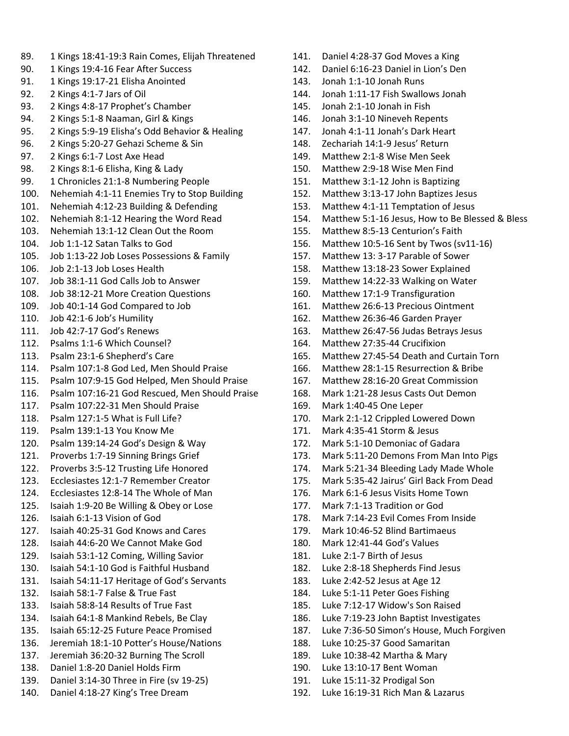- 89. 1 Kings 18:41-19:3 Rain Comes, Elijah Threatened
- 90. 1 Kings 19:4-16 Fear After Success
- 91. 1 Kings 19:17-21 Elisha Anointed
- 92. 2 Kings 4:1-7 Jars of Oil
- 93. 2 Kings 4:8-17 Prophet's Chamber
- 94. 2 Kings 5:1-8 Naaman, Girl & Kings
- 95. 2 Kings 5:9-19 Elisha's Odd Behavior & Healing
- 96. 2 Kings 5:20-27 Gehazi Scheme & Sin
- 97. 2 Kings 6:1-7 Lost Axe Head
- 98. 2 Kings 8:1-6 Elisha, King & Lady
- 99. 1 Chronicles 21:1-8 Numbering People
- 100. Nehemiah 4:1-11 Enemies Try to Stop Building
- 101. Nehemiah 4:12-23 Building & Defending
- 102. Nehemiah 8:1-12 Hearing the Word Read
- 103. Nehemiah 13:1-12 Clean Out the Room
- 104. Job 1:1-12 Satan Talks to God
- 105. Job 1:13-22 Job Loses Possessions & Family
- 106. Job 2:1-13 Job Loses Health
- 107. Job 38:1-11 God Calls Job to Answer
- 108. Job 38:12-21 More Creation Questions
- 109. Job 40:1-14 God Compared to Job
- 110. Job 42:1-6 Job's Humility
- 111. Job 42:7-17 God's Renews
- 112. Psalms 1:1-6 Which Counsel?
- 113. Psalm 23:1-6 Shepherd's Care
- 114. Psalm 107:1-8 God Led, Men Should Praise
- 115. Psalm 107:9-15 God Helped, Men Should Praise
- 116. Psalm 107:16-21 God Rescued, Men Should Praise
- 117. Psalm 107:22-31 Men Should Praise
- 118. Psalm 127:1-5 What is Full Life?
- 119. Psalm 139:1-13 You Know Me
- 120. Psalm 139:14-24 God's Design & Way
- 121. Proverbs 1:7-19 Sinning Brings Grief
- 122. Proverbs 3:5-12 Trusting Life Honored
- 123. Ecclesiastes 12:1-7 Remember Creator
- 124. Ecclesiastes 12:8-14 The Whole of Man
- 125. Isaiah 1:9-20 Be Willing & Obey or Lose
- 126. Isaiah 6:1-13 Vision of God
- 127. Isaiah 40:25-31 God Knows and Cares
- 128. Isaiah 44:6-20 We Cannot Make God
- 129. Isaiah 53:1-12 Coming, Willing Savior
- 130. Isaiah 54:1-10 God is Faithful Husband
- 131. Isaiah 54:11-17 Heritage of God's Servants
- 132. Isaiah 58:1-7 False & True Fast
- 133. Isaiah 58:8-14 Results of True Fast
- 134. Isaiah 64:1-8 Mankind Rebels, Be Clay
- 135. Isaiah 65:12-25 Future Peace Promised
- 136. Jeremiah 18:1-10 Potter's House/Nations
- 137. Jeremiah 36:20-32 Burning The Scroll
- 138. Daniel 1:8-20 Daniel Holds Firm
- 139. Daniel 3:14-30 Three in Fire (sv 19-25)
- 140. Daniel 4:18-27 King's Tree Dream
- 141. Daniel 4:28-37 God Moves a King
- 142. Daniel 6:16-23 Daniel in Lion's Den
- 143. Jonah 1:1-10 Jonah Runs
- 144. Jonah 1:11-17 Fish Swallows Jonah
- 145. Jonah 2:1-10 Jonah in Fish
- 146. Jonah 3:1-10 Nineveh Repents
- 147. Jonah 4:1-11 Jonah's Dark Heart
- 148. Zechariah 14:1-9 Jesus' Return
- 149. Matthew 2:1-8 Wise Men Seek
- 150. Matthew 2:9-18 Wise Men Find
- 151. Matthew 3:1-12 John is Baptizing
- 152. Matthew 3:13-17 John Baptizes Jesus
- 153. Matthew 4:1-11 Temptation of Jesus
- 154. Matthew 5:1-16 Jesus, How to Be Blessed & Bless
- 155. Matthew 8:5-13 Centurion's Faith
- 156. Matthew 10:5-16 Sent by Twos (sv11-16)
- 157. Matthew 13: 3-17 Parable of Sower
- 158. Matthew 13:18-23 Sower Explained
- 159. Matthew 14:22-33 Walking on Water
- 160. Matthew 17:1-9 Transfiguration
- 161. Matthew 26:6-13 Precious Ointment
- 162. Matthew 26:36-46 Garden Prayer
- 163. Matthew 26:47-56 Judas Betrays Jesus
- 164. Matthew 27:35-44 Crucifixion
- 165. Matthew 27:45-54 Death and Curtain Torn
- 166. Matthew 28:1-15 Resurrection & Bribe
- 167. Matthew 28:16-20 Great Commission
- 168. Mark 1:21-28 Jesus Casts Out Demon
- 169. Mark 1:40-45 One Leper
- 170. Mark 2:1-12 Crippled Lowered Down
- 171. Mark 4:35-41 Storm & Jesus
- 172. Mark 5:1-10 Demoniac of Gadara
- 173. Mark 5:11-20 Demons From Man Into Pigs
- 174. Mark 5:21-34 Bleeding Lady Made Whole
- 175. Mark 5:35-42 Jairus' Girl Back From Dead
- 176. Mark 6:1-6 Jesus Visits Home Town
- 177. Mark 7:1-13 Tradition or God
- 178. Mark 7:14-23 Evil Comes From Inside
- 179. Mark 10:46-52 Blind Bartimaeus
- 180. Mark 12:41-44 God's Values
- 181. Luke 2:1-7 Birth of Jesus
- 182. Luke 2:8-18 Shepherds Find Jesus
- 183. Luke 2:42-52 Jesus at Age 12
- 184. Luke 5:1-11 Peter Goes Fishing
- 185. Luke 7:12-17 Widow's Son Raised
- 186. Luke 7:19-23 John Baptist Investigates
- 187. Luke 7:36-50 Simon's House, Much Forgiven
- 188. Luke 10:25-37 Good Samaritan 189. Luke 10:38-42 Martha & Mary

192. Luke 16:19-31 Rich Man & Lazarus

190. Luke 13:10-17 Bent Woman 191. Luke 15:11-32 Prodigal Son